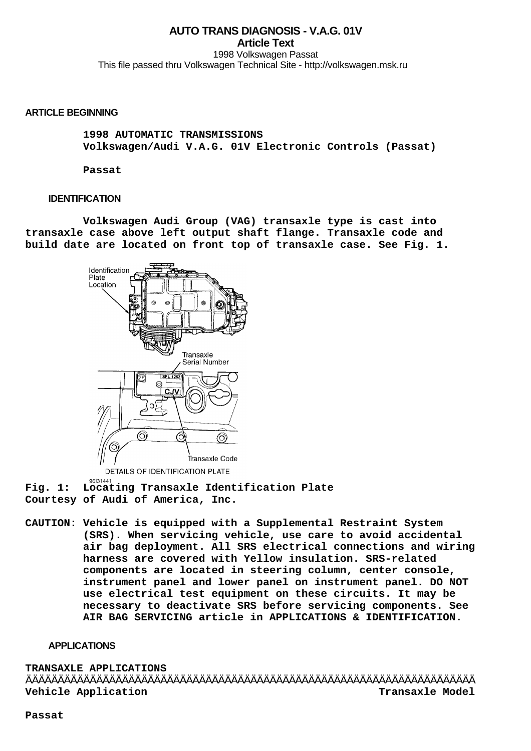# **AUTO TRANS DIAGNOSIS - V.A.G. 01V Article Text** 1998 Volkswagen Passat

This file passed thru Volkswagen Technical Site - http://volkswagen.msk.ru

## **ARTICLE BEGINNING**

 **1998 AUTOMATIC TRANSMISSIONS Volkswagen/Audi V.A.G. 01V Electronic Controls (Passat)**

 **Passat**

## **IDENTIFICATION**

 **Volkswagen Audi Group (VAG) transaxle type is cast into transaxle case above left output shaft flange. Transaxle code and build date are located on front top of transaxle case. See Fig. 1.**



DETAILS OF IDENTIFICATION PLATE

9613144 **Fig. 1: Locating Transaxle Identification Plate Courtesy of Audi of America, Inc.**

**CAUTION: Vehicle is equipped with a Supplemental Restraint System (SRS). When servicing vehicle, use care to avoid accidental air bag deployment. All SRS electrical connections and wiring harness are covered with Yellow insulation. SRS-related components are located in steering column, center console, instrument panel and lower panel on instrument panel. DO NOT use electrical test equipment on these circuits. It may be necessary to deactivate SRS before servicing components. See AIR BAG SERVICING article in APPLICATIONS & IDENTIFICATION.**

## **APPLICATIONS**

**TRANSAXLE APPLICATIONS** ÄÄÄÄÄÄÄÄÄÄÄÄÄÄÄÄÄÄÄÄÄÄÄÄÄÄÄÄÄÄÄÄÄÄÄÄÄÄÄÄÄÄÄÄÄÄÄÄÄÄÄÄÄÄÄÄÄÄÄÄÄÄÄÄÄÄÄÄÄÄ **Vehicle Application Transaxle Model**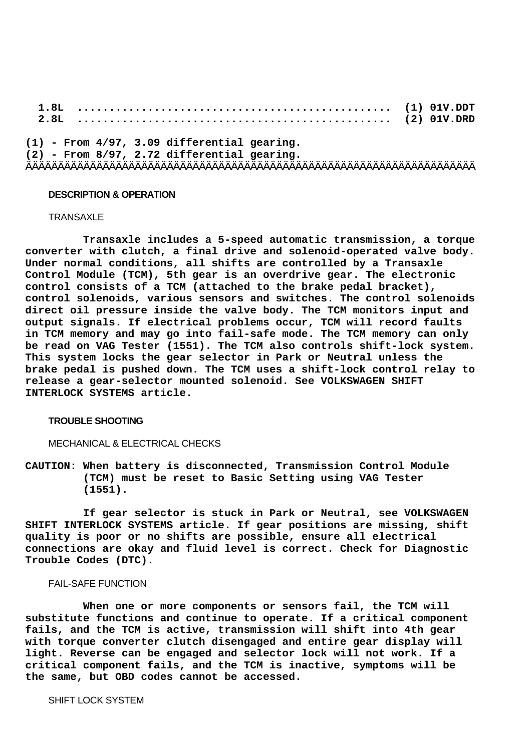**1.8L ................................................. (1) 01V.DDT 2.8L ................................................. (2) 01V.DRD (1) - From 4/97, 3.09 differential gearing. (2) - From 8/97, 2.72 differential gearing.** ÄÄÄÄÄÄÄÄÄÄÄÄÄÄÄÄÄÄÄÄÄÄÄÄÄÄÄÄÄÄÄÄÄÄÄÄÄÄÄÄÄÄÄÄÄÄÄÄÄÄÄÄÄÄÄÄÄÄÄÄÄÄÄÄÄÄÄÄÄÄ

## **DESCRIPTION & OPERATION**

#### **TRANSAXLE**

 **Transaxle includes a 5-speed automatic transmission, a torque converter with clutch, a final drive and solenoid-operated valve body. Under normal conditions, all shifts are controlled by a Transaxle Control Module (TCM), 5th gear is an overdrive gear. The electronic control consists of a TCM (attached to the brake pedal bracket), control solenoids, various sensors and switches. The control solenoids direct oil pressure inside the valve body. The TCM monitors input and output signals. If electrical problems occur, TCM will record faults in TCM memory and may go into fail-safe mode. The TCM memory can only be read on VAG Tester (1551). The TCM also controls shift-lock system. This system locks the gear selector in Park or Neutral unless the brake pedal is pushed down. The TCM uses a shift-lock control relay to release a gear-selector mounted solenoid. See VOLKSWAGEN SHIFT INTERLOCK SYSTEMS article.**

#### **TROUBLE SHOOTING**

## MECHANICAL & ELECTRICAL CHECKS

**CAUTION: When battery is disconnected, Transmission Control Module (TCM) must be reset to Basic Setting using VAG Tester (1551).**

 **If gear selector is stuck in Park or Neutral, see VOLKSWAGEN SHIFT INTERLOCK SYSTEMS article. If gear positions are missing, shift quality is poor or no shifts are possible, ensure all electrical connections are okay and fluid level is correct. Check for Diagnostic Trouble Codes (DTC).**

# FAIL-SAFE FUNCTION

 **When one or more components or sensors fail, the TCM will substitute functions and continue to operate. If a critical component fails, and the TCM is active, transmission will shift into 4th gear with torque converter clutch disengaged and entire gear display will light. Reverse can be engaged and selector lock will not work. If a critical component fails, and the TCM is inactive, symptoms will be the same, but OBD codes cannot be accessed.**

SHIFT LOCK SYSTEM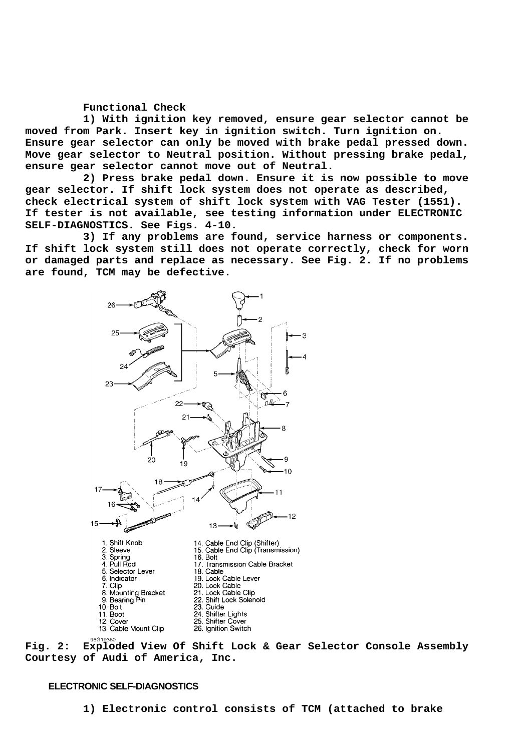## **Functional Check**

 **1) With ignition key removed, ensure gear selector cannot be moved from Park. Insert key in ignition switch. Turn ignition on. Ensure gear selector can only be moved with brake pedal pressed down. Move gear selector to Neutral position. Without pressing brake pedal, ensure gear selector cannot move out of Neutral.**

 **2) Press brake pedal down. Ensure it is now possible to move gear selector. If shift lock system does not operate as described, check electrical system of shift lock system with VAG Tester (1551). If tester is not available, see testing information under ELECTRONIC SELF-DIAGNOSTICS. See Figs. 4-10.**

 **3) If any problems are found, service harness or components. If shift lock system still does not operate correctly, check for worn or damaged parts and replace as necessary. See Fig. 2. If no problems are found, TCM may be defective.**



**Fig. 2: Exploded View Of Shift Lock & Gear Selector Console Assembly Courtesy of Audi of America, Inc.**

## **ELECTRONIC SELF-DIAGNOSTICS**

 **1) Electronic control consists of TCM (attached to brake**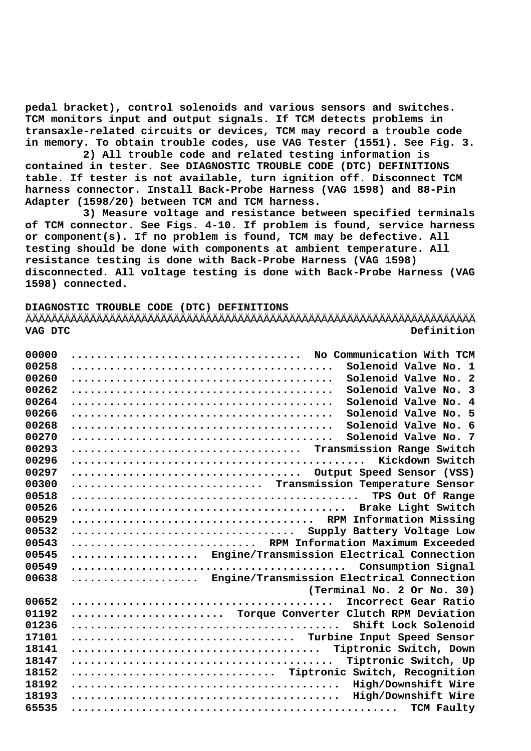**pedal bracket), control solenoids and various sensors and switches. TCM monitors input and output signals. If TCM detects problems in transaxle-related circuits or devices, TCM may record a trouble code in memory. To obtain trouble codes, use VAG Tester (1551). See Fig. 3.**

 **2) All trouble code and related testing information is contained in tester. See DIAGNOSTIC TROUBLE CODE (DTC) DEFINITIONS table. If tester is not available, turn ignition off. Disconnect TCM harness connector. Install Back-Probe Harness (VAG 1598) and 88-Pin Adapter (1598/20) between TCM and TCM harness.**

 **3) Measure voltage and resistance between specified terminals of TCM connector. See Figs. 4-10. If problem is found, service harness or component(s). If no problem is found, TCM may be defective. All testing should be done with components at ambient temperature. All resistance testing is done with Back-Probe Harness (VAG 1598) disconnected. All voltage testing is done with Back-Probe Harness (VAG 1598) connected.**

**DIAGNOSTIC TROUBLE CODE (DTC) DEFINITIONS** ÄÄÄÄÄÄÄÄÄÄÄÄÄÄÄÄÄÄÄÄÄÄÄÄÄÄÄÄÄÄÄÄÄÄÄÄÄÄÄÄÄÄÄÄÄÄÄÄÄÄÄÄÄÄÄÄÄÄÄÄÄÄÄÄÄÄÄÄÄÄ **VAG DTC Definition**

| 00000 | No Communication With TCM                     |
|-------|-----------------------------------------------|
| 00258 | Solenoid Valve No. 1                          |
| 00260 | Solenoid Valve No. 2                          |
| 00262 | Solenoid Valve No.<br>$\overline{\mathbf{3}}$ |
| 00264 | Solenoid Valve No.<br>$\overline{4}$          |
| 00266 | Solenoid Valve No. 5                          |
| 00268 | Solenoid Valve No. 6                          |
| 00270 | Solenoid Valve No. 7                          |
| 00293 | Transmission Range Switch                     |
| 00296 |                                               |
| 00297 | Output Speed Sensor (VSS)                     |
|       |                                               |
| 00300 | Transmission Temperature Sensor               |
| 00518 | TPS Out Of Range                              |
| 00526 |                                               |
| 00529 | RPM Information Missing                       |
| 00532 | Supply Battery Voltage Low                    |
| 00543 | RPM Information Maximum Exceeded              |
| 00545 | Engine/Transmission Electrical Connection     |
| 00549 |                                               |
| 00638 | Engine/Transmission Electrical Connection     |
|       | (Terminal No. 2 Or No. 30)                    |
| 00652 | Incorrect Gear Ratio                          |
| 01192 | Torque Converter Clutch RPM Deviation         |
| 01236 |                                               |
| 17101 | Turbine Input Speed Sensor                    |
| 18141 |                                               |
| 18147 | Tiptronic Switch, Up                          |
| 18152 | Tiptronic<br>Switch, Recognition              |
| 18192 | High/Downshift Wire                           |
| 18193 | High/Downshift Wire                           |
| 65535 | TCM Faulty                                    |
|       |                                               |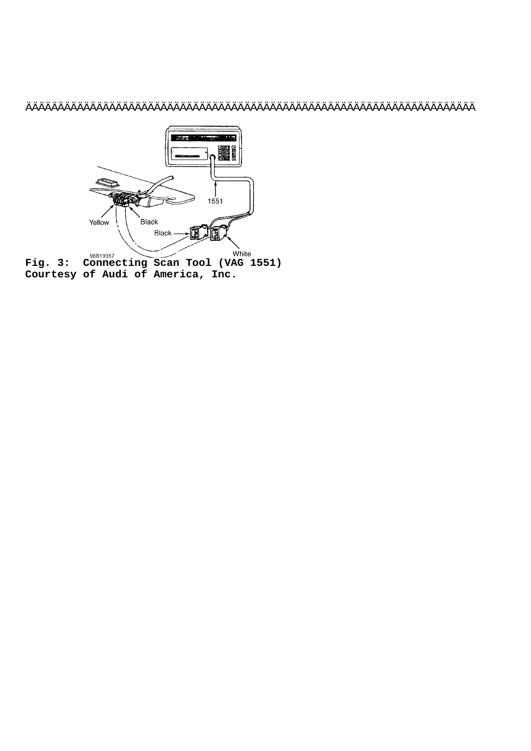# ÄÄÄÄÄÄÄÄÄÄÄÄÄÄÄÄÄÄÄÄÄÄÄÄÄÄÄÄÄÄÄÄÄÄÄÄÄÄÄÄÄÄÄÄÄÄÄÄÄÄÄÄÄÄÄÄÄÄÄÄÄÄÄÄÄÄÄÄÄÄ

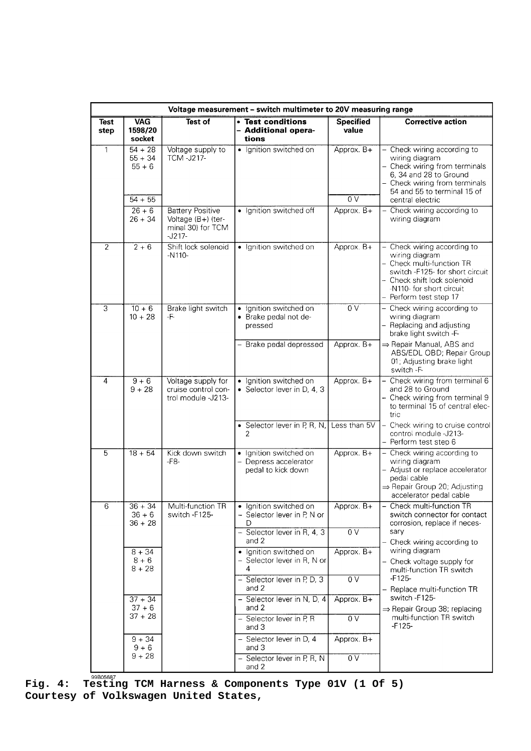|                     | Voltage measurement - switch multimeter to 20V measuring range |                                                                                |                                                                       |                           |                                                                                                                                                                                                    |  |  |
|---------------------|----------------------------------------------------------------|--------------------------------------------------------------------------------|-----------------------------------------------------------------------|---------------------------|----------------------------------------------------------------------------------------------------------------------------------------------------------------------------------------------------|--|--|
| <b>Test</b><br>step | <b>VAG</b><br>1598/20<br>socket                                | <b>Test of</b>                                                                 | • Test conditions<br>- Additional opera-<br>tions                     | <b>Specified</b><br>value | <b>Corrective action</b>                                                                                                                                                                           |  |  |
| $\mathbf{1}$        | $54 + 28$<br>$55 + 34$<br>$55 + 6$                             | Voltage supply to<br><b>TCM-J217-</b>                                          | · Ignition switched on                                                | Approx. B+                | - Check wiring according to<br>wiring diagram<br>- Check wiring from terminals<br>6, 34 and 28 to Ground<br>- Check wiring from terminals<br>54 and 55 to terminal 15 of                           |  |  |
|                     | $54 + 55$                                                      |                                                                                |                                                                       | 0 <sub>V</sub>            | central electric                                                                                                                                                                                   |  |  |
|                     | $26 + 6$<br>$26 + 34$                                          | <b>Battery Positive</b><br>Voltage (B+) (ter-<br>minal 30) for TCM<br>$-J217-$ | • Ignition switched off                                               | Approx. B+                | Check wiring according to<br>$\overline{\phantom{0}}$<br>wiring diagram                                                                                                                            |  |  |
| $\overline{2}$      | $2 + 6$                                                        | Shift lock solenoid<br>-N110-                                                  | · Ignition switched on                                                | Approx. B+                | - Check wiring according to<br>wiring diagram<br>- Check multi-function TR<br>switch -F125- for short circuit<br>- Check shift lock solenoid<br>-N110- for short circuit<br>- Perform test step 17 |  |  |
| $\overline{3}$      | $10 + 6$<br>$10 + 28$                                          | Brake light switch<br>-F-                                                      | · Ignition switched on<br>• Brake pedal not de-<br>pressed            | 0V                        | Check wiring according to<br>$\qquad \qquad -$<br>wiring diagram<br>- Replacing and adjusting<br>brake light switch -F-                                                                            |  |  |
|                     |                                                                |                                                                                | Brake pedal depressed                                                 | Approx. B+                | $\Rightarrow$ Repair Manual, ABS and<br>ABS/EDL OBD; Repair Group<br>01; Adjusting brake light<br>switch -F-                                                                                       |  |  |
| $\overline{4}$      | $9 + 6$<br>$9 + 28$                                            | Voltage supply for<br>cruise control con-<br>trol module -J213-                | · Ignition switched on<br>• Selector lever in D, 4, 3                 | Approx. B+                | - Check wiring from terminal 6<br>and 28 to Ground<br>- Check wiring from terminal 9<br>to terminal 15 of central elec-<br>tric                                                                    |  |  |
|                     |                                                                |                                                                                | • Selector lever in P, R, N,<br>$\overline{2}$                        | Less than 5V              | - Check wiring to cruise control<br>control module -J213-<br>- Perform test step 6                                                                                                                 |  |  |
| 5                   | $18 + 54$                                                      | Kick down switch<br>-F8-                                                       | · Ignition switched on<br>- Depress accelerator<br>pedal to kick down | Approx. B+                | - Check wiring according to<br>wiring diagram<br>- Adjust or replace accelerator<br>pedal cable<br>⇒ Repair Group 20; Adjusting<br>accelerator pedal cable                                         |  |  |
| 6                   | $36 + 34$<br>$36 + 6$<br>$36 + 28$                             | Multi-function TR<br>switch -F125-                                             | · Ignition switched on<br>- Selector lever in P, N or<br>D            | Approx. B+                | - Check multi-function TR<br>switch connector for contact<br>corrosion, replace if neces-                                                                                                          |  |  |
|                     |                                                                |                                                                                | - Selector lever in R, 4, 3<br>and 2                                  | 0V                        | sary<br>- Check wiring according to<br>wiring diagram                                                                                                                                              |  |  |
|                     | $8 + 34$<br>$8 + 6$<br>$8 + 28$                                |                                                                                | · Ignition switched on<br>- Selector lever in R, N or<br>4            | Approx. B+                | - Check voltage supply for<br>multi-function TR switch                                                                                                                                             |  |  |
|                     |                                                                |                                                                                | - Selector lever in P, D, 3<br>and 2                                  | $\overline{0 V}$          | $-F125-$<br>- Replace multi-function TR                                                                                                                                                            |  |  |
|                     | $37 + 34$<br>$37 + 6$                                          |                                                                                | - Selector lever in N, D, 4<br>and 2                                  | Approx. B+                | switch -F125-<br>$\Rightarrow$ Repair Group 38; replacing                                                                                                                                          |  |  |
|                     | $37 + 28$                                                      |                                                                                | - Selector lever in P, R<br>and 3                                     | $\overline{0V}$           | multi-function TR switch<br>$-F125-$                                                                                                                                                               |  |  |
|                     | $9 + 34$<br>$9 + 6$                                            |                                                                                | - Selector lever in D, 4<br>and 3                                     | Approx. B+                |                                                                                                                                                                                                    |  |  |
|                     | $9 + 28$                                                       |                                                                                | Selector lever in P, R, N<br>and 2                                    | $\overline{0 V}$          |                                                                                                                                                                                                    |  |  |

**Fig. 4: Testing TCM Harness & Components Type 01V (1 Of 5) Courtesy of Volkswagen United States,**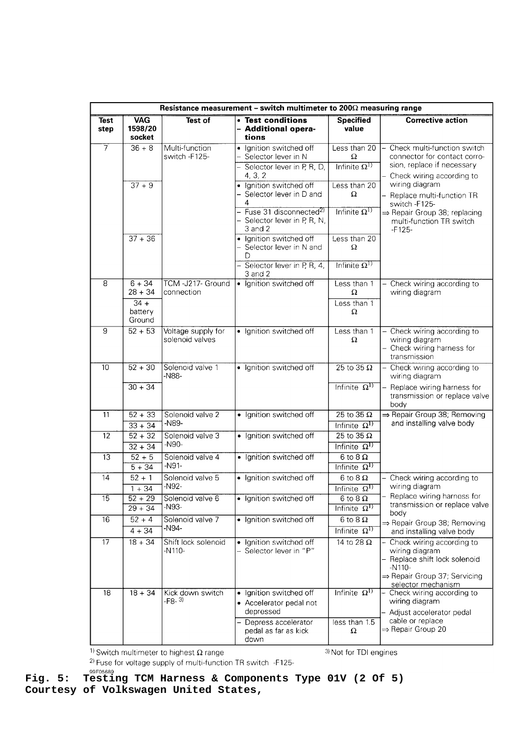|                     | Resistance measurement – switch multimeter to 200 $\Omega$ measuring range |                                       |                                                                                                                             |                                                                    |                                                                                                                                                                   |  |  |
|---------------------|----------------------------------------------------------------------------|---------------------------------------|-----------------------------------------------------------------------------------------------------------------------------|--------------------------------------------------------------------|-------------------------------------------------------------------------------------------------------------------------------------------------------------------|--|--|
| <b>Test</b><br>step | <b>VAG</b><br>1598/20<br>socket                                            | Test of                               | • Test conditions<br>- Additional opera-<br>tions                                                                           | <b>Specified</b><br>value                                          | <b>Corrective action</b>                                                                                                                                          |  |  |
| 7                   | $36 + 8$                                                                   | Multi-function<br>switch -F125-       | Ignition switched off<br>Selector lever in N<br>Selector lever in P, R, D,<br>4, 3, 2                                       | Less than 20<br>Ω<br>Infinite $\Omega^{1)}$                        | - Check multi-function switch<br>connector for contact corro-<br>sion, replace if necessary                                                                       |  |  |
|                     | $37 + 9$                                                                   |                                       | Ignition switched off<br>Selector lever in D and<br>4<br>Fuse 31 disconnected <sup>2)</sup><br>- Selector lever in P, R, N, | Less than 20<br>Ω<br>Infinite $\Omega^D$                           | Check wiring according to<br>wiring diagram<br>Replace multi-function TR<br>switch -F125-<br>$\Rightarrow$ Repair Group 38; replacing<br>multi-function TR switch |  |  |
|                     | $37 + 36$                                                                  |                                       | 3 and 2<br>· Ignition switched off<br>- Selector lever in N and<br>D<br>Selector lever in P, R, 4,<br>3 and 2               | Less than 20<br>Ω<br>Infinite $\Omega^{\mathrm{I}}$                | $-F125-$                                                                                                                                                          |  |  |
| 8                   | $6 + 34$<br>$28 + 34$<br>$34 +$<br>battery<br>Ground                       | TCM-J217- Ground<br>connection        | · Ignition switched off                                                                                                     | Less than 1<br>Ω<br>Less than 1<br>Ω                               | Check wiring according to<br>wiring diagram                                                                                                                       |  |  |
| $\overline{9}$      | $52 + 53$                                                                  | Voltage supply for<br>solenoid valves | · Ignition switched off                                                                                                     | Less than 1<br>Ω                                                   | - Check wiring according to<br>wiring diagram<br>- Check wiring harness for<br>transmission                                                                       |  |  |
| 10                  | $52 + 30$<br>$30 + 34$                                                     | Solenoid valve 1<br>-N88-             | · Ignition switched off                                                                                                     | $\overline{25}$ to 35 $\overline{\Omega}$<br>Infinite $\Omega^{1}$ | - Check wiring according to<br>wiring diagram<br>Replace wiring harness for<br>transmission or replace valve<br>body                                              |  |  |
| $\overline{11}$     | $52 + 33$<br>$33 + 34$                                                     | Solenoid valve 2<br>-N89-             | • Ignition switched off                                                                                                     | $25$ to 35 $\Omega$<br>Infinite $\Omega^{1}$                       | ⇒ Repair Group 38; Removing<br>and installing valve body                                                                                                          |  |  |
| 12                  | $52 + 32$<br>$32 + 34$                                                     | Solenoid valve 3<br>-N90-             | · Ignition switched off                                                                                                     | $25$ to 35 $\Omega$<br>Infinite $\Omega^{1}$                       |                                                                                                                                                                   |  |  |
| 13                  | $52 + 5$<br>$5 + 34$                                                       | Solenoid valve 4<br>$-N91-$           | · Ignition switched off                                                                                                     | $6 \text{ to } 8 \Omega$<br>Infinite $\Omega^{1}$                  |                                                                                                                                                                   |  |  |
| 14                  | $52 + 1$<br>$1 + 34$                                                       | Solenoid valve 5<br>$-N92-$           | · Ignition switched off                                                                                                     | $6$ to $8$ $\Omega$<br>Infinite $\Omega^{1}$                       | Check wiring according to<br>wiring diagram<br>Replace wiring harness for                                                                                         |  |  |
| 15                  | $52 + 29$<br>$29 + 34$                                                     | Solenoid valve 6<br>$-N93-$           | · Ignition switched off                                                                                                     | $6$ to $8$ $\Omega$<br>Infinite $\Omega^{1}$                       | transmission or replace valve<br>body                                                                                                                             |  |  |
| 16                  | $\sqrt{52 + 4}$<br>$4 + 34$                                                | Solenoid valve 7<br>-N94-             | • Ignition switched off                                                                                                     | $6$ to $8$ $\Omega$<br>Infinite $\Omega^{\rm D}$                   | $\Rightarrow$ Repair Group 38; Removing<br>and installing valve body                                                                                              |  |  |
| $\overline{17}$     | $18 + 34$                                                                  | Shift lock solenoid<br>-N110-         | Ignition switched off<br>$\bullet$<br>Selector lever in "P"                                                                 | 14 to 28 $\Omega$                                                  | Check wiring according to<br>wiring diagram<br>- Replace shift lock solenoid<br>$-N110-$<br>$\Rightarrow$ Repair Group 37; Servicing<br>selector mechanism        |  |  |
| 18                  | $18 + 34$                                                                  | Kick down switch<br>$-F8-3$           | Ignition switched off<br>• Accelerator pedal not<br>depressed                                                               | Infinite $\Omega^{1}$                                              | Check wiring according to<br>-<br>wiring diagram<br>- Adjust accelerator pedal                                                                                    |  |  |
|                     |                                                                            |                                       | Depress accelerator<br>pedal as far as kick<br>down                                                                         | less than 1.5<br>Ω                                                 | cable or replace<br>⇒ Repair Group 20                                                                                                                             |  |  |

<sup>1)</sup> Switch multimeter to highest  $\Omega$  range

<sup>3)</sup> Not for TDI engines

<sup>2)</sup> Fuse for voltage supply of multi-function TR switch -F125-

Fig. 5: Testing TCM Harness & Components Type 01V (2 Of 5) **Courtesy of Volkswagen United States,**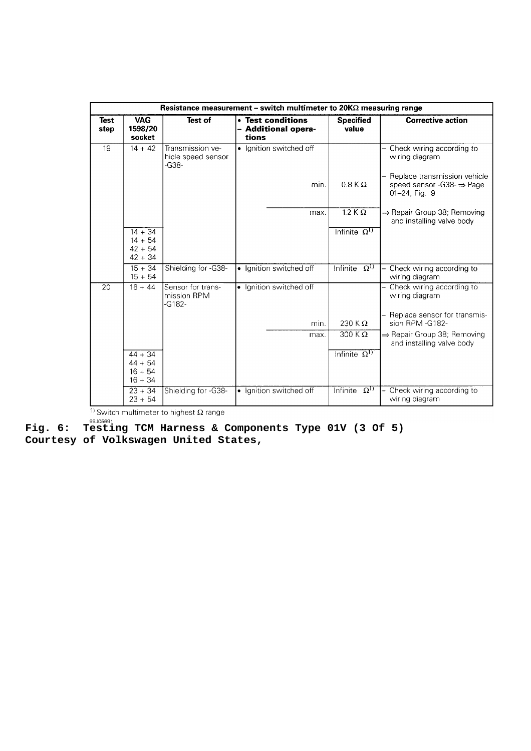|                     | Resistance measurement – switch multimeter to $20K\Omega$ measuring range |                                                 |           |                                                   |                           |                                                                                        |  |
|---------------------|---------------------------------------------------------------------------|-------------------------------------------------|-----------|---------------------------------------------------|---------------------------|----------------------------------------------------------------------------------------|--|
| <b>Test</b><br>step | <b>VAG</b><br>1598/20<br>socket                                           | <b>Test of</b>                                  |           | • Test conditions<br>- Additional opera-<br>tions | <b>Specified</b><br>value | <b>Corrective action</b>                                                               |  |
| $\overline{19}$     | $14 + 42$                                                                 | Transmission ve-<br>hicle speed sensor<br>-G38- |           | • Ignition switched off                           |                           | Check wiring according to<br>wiring diagram                                            |  |
|                     |                                                                           |                                                 |           | min.                                              | $0.8$ K $\Omega$          | Replace transmission vehicle<br>speed sensor -G38- $\Rightarrow$ Page<br>01-24, Fig. 9 |  |
|                     |                                                                           |                                                 |           | max.                                              | $1.2 K \Omega$            | $\Rightarrow$ Repair Group 38; Removing<br>and installing valve body                   |  |
|                     | $14 + 34$                                                                 |                                                 |           |                                                   | Infinite $\Omega^{1)}$    |                                                                                        |  |
|                     | $14 + 54$<br>$42 + 54$                                                    |                                                 |           |                                                   |                           |                                                                                        |  |
|                     | $42 + 34$                                                                 |                                                 |           |                                                   |                           |                                                                                        |  |
|                     | $15 + 34$<br>$15 + 54$                                                    | Shielding for -G38-                             | $\bullet$ | Ignition switched off                             | Infinite $\Omega^{1}$     | Check wiring according to<br>wiring diagram                                            |  |
| 20                  | $16 + 44$                                                                 | Sensor for trans-<br>mission RPM<br>-G182-      |           | · Ignition switched off                           |                           | Check wiring according to<br>wiring diagram                                            |  |
|                     |                                                                           |                                                 |           | min.                                              | 230 K $\Omega$            | Replace sensor for transmis-<br>sion RPM -G182-                                        |  |
|                     |                                                                           |                                                 |           | max.                                              | $300 K\Omega$             | $\Rightarrow$ Repair Group 38; Removing<br>and installing valve body                   |  |
|                     | $44 + 34$                                                                 |                                                 |           |                                                   | Infinite $\Omega^{1}$     |                                                                                        |  |
|                     | $44 + 54$<br>$16 + 54$                                                    |                                                 |           |                                                   |                           |                                                                                        |  |
|                     | $16 + 34$                                                                 |                                                 |           |                                                   |                           |                                                                                        |  |
|                     | $23 + 34$<br>$23 + 54$                                                    | Shielding for -G38-                             | $\bullet$ | Ignition switched off                             | Infinite $\Omega^{1}$     | Check wiring according to<br>wiring diagram                                            |  |

<sup>1)</sup> Switch multimeter to highest  $\Omega$  range

Fig. 6: Testing TCM Harness & Components Type 01V (3 Of 5) **Courtesy of Volkswagen United States,**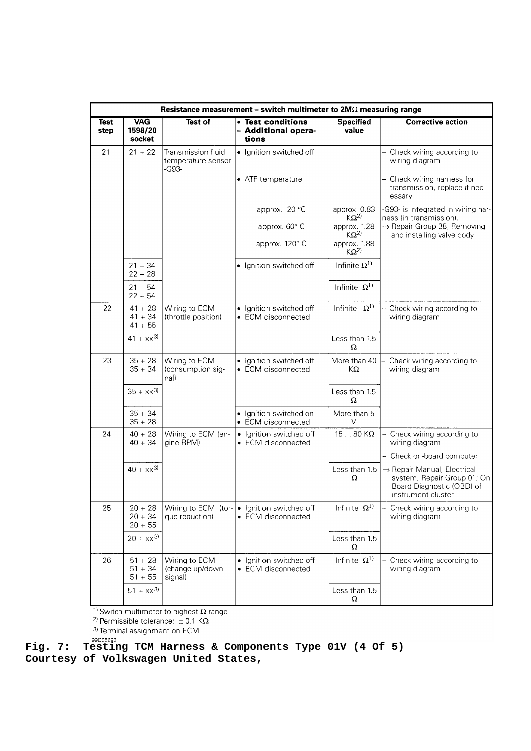|                     | Resistance measurement - switch multimeter to $2M\Omega$ measuring range |                                                   |                                                         |                               |                                                                                                                           |  |
|---------------------|--------------------------------------------------------------------------|---------------------------------------------------|---------------------------------------------------------|-------------------------------|---------------------------------------------------------------------------------------------------------------------------|--|
| <b>Test</b><br>step | <b>VAG</b><br>1598/20<br>socket                                          | Test of                                           | • Test conditions<br><b>Additional opera-</b><br>tions  | <b>Specified</b><br>value     | <b>Corrective action</b>                                                                                                  |  |
| 21                  | $21 + 22$                                                                | Transmission fluid<br>temperature sensor<br>-G93- | · Ignition switched off                                 |                               | Check wiring according to<br>wiring diagram                                                                               |  |
|                     |                                                                          |                                                   | • ATF temperature                                       |                               | Check wiring harness for<br>transmission, replace if nec-<br>essary                                                       |  |
|                     |                                                                          |                                                   | approx. 20 °C                                           | approx. 0.83<br>$K\Omega^{2}$ | -G93- is integrated in wiring har-<br>ness (in transmission).                                                             |  |
|                     |                                                                          |                                                   | approx. 60° C                                           | approx. 1.28<br>$K\Omega^{2}$ | ⇒ Repair Group 38; Removing<br>and installing valve body                                                                  |  |
|                     |                                                                          |                                                   | approx. 120° C                                          | approx. 1.88<br>$K\Omega^{2}$ |                                                                                                                           |  |
|                     | $21 + 34$<br>$22 + 28$                                                   |                                                   | Ignition switched off                                   | Infinite $\Omega^{1)}$        |                                                                                                                           |  |
|                     | $21 + 54$<br>$22 + 54$                                                   |                                                   |                                                         | Infinite $\Omega^{1}$         |                                                                                                                           |  |
| 22                  | $41 + 28$<br>$41 + 34$                                                   | Wiring to ECM<br>(throttle position)              | · Ignition switched off<br>• ECM disconnected           | Infinite $\Omega^{1}$         | - Check wiring according to<br>wiring diagram                                                                             |  |
|                     | $41 + 55$                                                                |                                                   |                                                         |                               |                                                                                                                           |  |
|                     | $41 + xx^{3}$                                                            |                                                   |                                                         | Less than 1.5<br>Ω            |                                                                                                                           |  |
| 23                  | $35 + 28$<br>$35 + 34$                                                   | Wiring to ECM<br>(consumption sig-<br>nal)        | • Ignition switched off<br>• ECM disconnected           | More than 40<br>KΩ            | Check wiring according to<br>wiring diagram                                                                               |  |
|                     | $35 + xx^{3}$                                                            |                                                   |                                                         | Less than 1.5<br>Ω            |                                                                                                                           |  |
|                     | $35 + 34$<br>$35 + 28$                                                   |                                                   | Ignition switched on<br>$\bullet$<br>• ECM disconnected | More than 5<br>V              |                                                                                                                           |  |
| 24                  | $40 + 28$<br>$40 + 34$                                                   | Wiring to ECM (en-<br>gine RPM)                   | • Ignition switched off<br>• ECM disconnected           | $1580$ K $\Omega$             | - Check wiring according to<br>wiring diagram                                                                             |  |
|                     |                                                                          |                                                   |                                                         |                               | - Check on-board computer                                                                                                 |  |
|                     | $40 + xx^{3}$                                                            |                                                   |                                                         | Less than $1.5$<br>Ω          | $\Rightarrow$ Repair Manual, Electrical<br>system, Repair Group 01; On<br>Board Diagnostic (OBD) of<br>instrument cluster |  |
| 25                  | $20 + 28$<br>$20 + 34$<br>$20 + 55$                                      | Wiring to ECM (tor-<br>que reduction)             | Ignition switched off<br>• ECM disconnected             | Infinite $\Omega^{1}$         | Check wiring according to<br>wiring diagram                                                                               |  |
|                     | $20 + xx^{3}$                                                            |                                                   |                                                         | Less than 1.5<br>Ω            |                                                                                                                           |  |
| 26                  | $51 + 28$<br>$51 + 34$<br>$51 + 55$                                      | Wiring to ECM<br>(change up/down<br>signal)       | • Ignition switched off<br>• ECM disconnected           | Infinite $\Omega^{1}$         | Check wiring according to<br>wiring diagram                                                                               |  |
|                     | $51 + xx^{3}$                                                            |                                                   |                                                         | Less than 1.5<br>Ω            |                                                                                                                           |  |

<sup>1)</sup> Switch multimeter to highest  $\Omega$  range<br><sup>2)</sup> Permissible tolerance:  $\pm$  0.1 K $\Omega$ <br><sup>3)</sup> Terminal assignment on ECM

Fig. 7: **Testing TCM Harness & Components Type 01V (4 Of 5) Courtesy of Volkswagen United States,**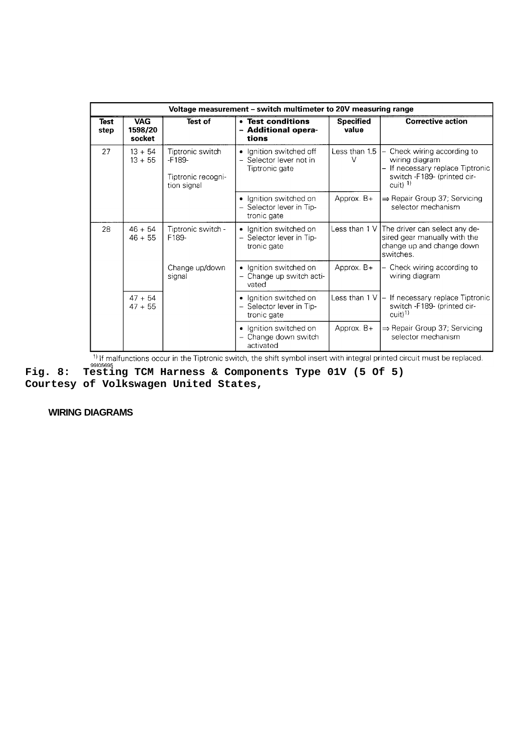| Voltage measurement - switch multimeter to 20V measuring range |                                 |                                                                   |                                                                        |                           |                                                                                                                           |  |  |
|----------------------------------------------------------------|---------------------------------|-------------------------------------------------------------------|------------------------------------------------------------------------|---------------------------|---------------------------------------------------------------------------------------------------------------------------|--|--|
| Test<br>step                                                   | <b>VAG</b><br>1598/20<br>socket | Test of                                                           | • Test conditions<br><b>Additional opera-</b><br>tions                 | <b>Specified</b><br>value | <b>Corrective action</b>                                                                                                  |  |  |
| 27                                                             | $13 + 54$<br>$13 + 55$          | Tiptronic switch<br>$-F189-$<br>Tiptronic recogni-<br>tion signal | • Ignition switched off<br>- Selector lever not in<br>Tiptronic gate   | Less than $1.5$ $-$<br>V  | Check wiring according to<br>wiring diagram<br>If necessary replace Tiptronic<br>switch -F189- (printed cir-<br>cuit) $1$ |  |  |
|                                                                |                                 |                                                                   | • Ignition switched on<br>- Selector lever in Tip-<br>tronic gate      | Approx. $B+$              | $\Rightarrow$ Repair Group 37; Servicing<br>selector mechanism                                                            |  |  |
| 28                                                             | $46 + 54$<br>$46 + 55$          | Tiptronic switch -<br>F189-                                       | • Ignition switched on<br>- Selector lever in Tip-<br>tronic gate      |                           | Less than 1 V The driver can select any de-<br>sired gear manually with the<br>change up and change down<br>switches.     |  |  |
|                                                                |                                 | Change up/down<br>signal                                          | Ignition switched on<br>$\bullet$<br>- Change up switch acti-<br>vated | Approx. $B+$              | Check wiring according to<br>wiring diagram                                                                               |  |  |
|                                                                | $47 + 54$<br>$47 + 55$          |                                                                   | • Ignition switched on<br>Selector lever in Tip-<br>tronic gate        |                           | Less than 1 V $ -$ If necessary replace Tiptronic<br>switch -F189- (printed cir-<br>$cut$ <sup>1)</sup>                   |  |  |
|                                                                |                                 |                                                                   | • Ignition switched on<br>Change down switch<br>activated              | Approx. $B+$              | ⇒ Repair Group 37; Servicing<br>selector mechanism                                                                        |  |  |

**Fig. 8: Testing TCM Harness & Components Type 01V (5 Of 5)**<br>Fig. 8: Testing TCM Harness & Components Type 01V (5 Of 5)

**Courtesy of Volkswagen United States,**

 **WIRING DIAGRAMS**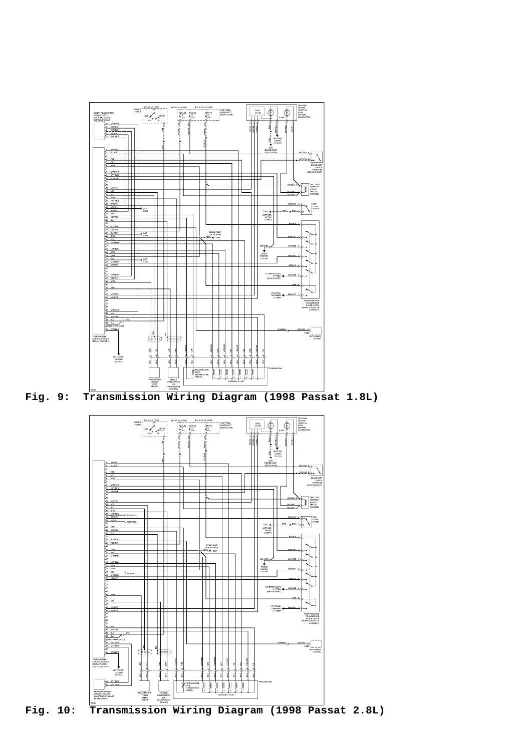

**Fig. 9: Transmission Wiring Diagram (1998 Passat 1.8L)**



**Fig. 10: Transmission Wiring Diagram (1998 Passat 2.8L)**